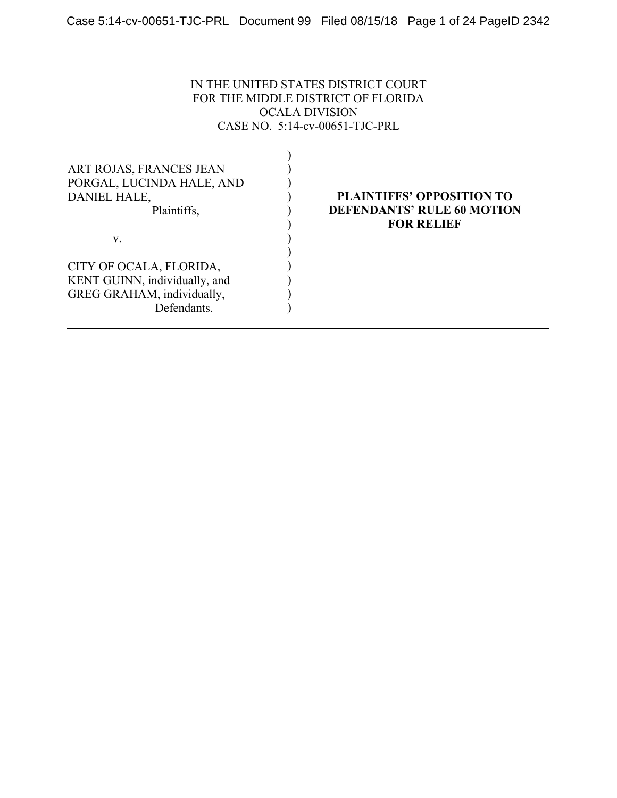IN THE UNITED STATES DISTRICT COURT FOR THE MIDDLE DISTRICT OF FLORIDA OCALA DIVISION CASE NO. 5:14-cv-00651-TJC-PRL

| ART ROJAS, FRANCES JEAN<br>PORGAL, LUCINDA HALE, AND<br>DANIEL HALE,<br>Plaintiffs, | <b>PLAINTIFFS' OPPOSITION TO</b><br><b>DEFENDANTS' RULE 60 MOTION</b><br><b>FOR RELIEF</b> |
|-------------------------------------------------------------------------------------|--------------------------------------------------------------------------------------------|
| V.                                                                                  |                                                                                            |
|                                                                                     |                                                                                            |
| CITY OF OCALA, FLORIDA,                                                             |                                                                                            |
| KENT GUINN, individually, and                                                       |                                                                                            |
| GREG GRAHAM, individually,                                                          |                                                                                            |
| Defendants.                                                                         |                                                                                            |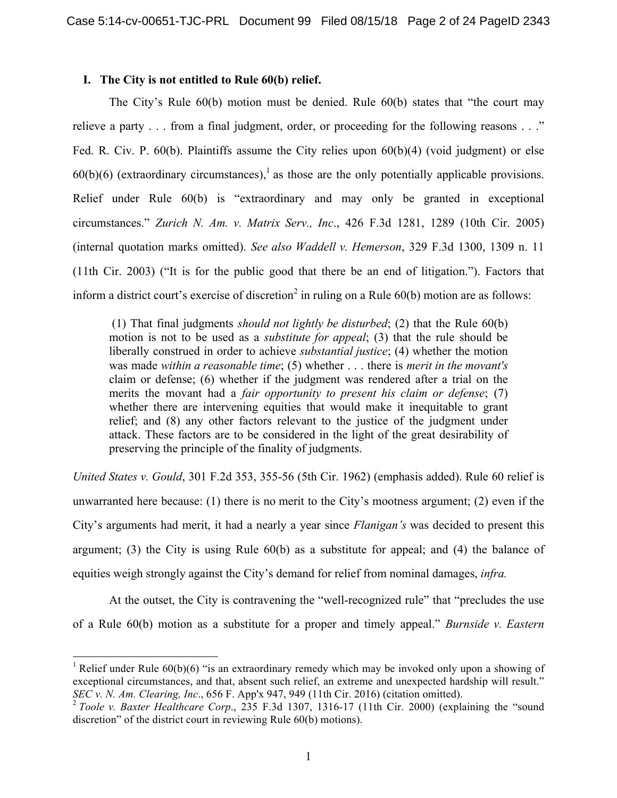## **I. The City is not entitled to Rule 60(b) relief.**

The City's Rule 60(b) motion must be denied. Rule 60(b) states that "the court may relieve a party . . . from a final judgment, order, or proceeding for the following reasons . . ." Fed. R. Civ. P. 60(b). Plaintiffs assume the City relies upon 60(b)(4) (void judgment) or else  $60(b)(6)$  (extraordinary circumstances),<sup>1</sup> as those are the only potentially applicable provisions. Relief under Rule 60(b) is "extraordinary and may only be granted in exceptional circumstances." *Zurich N. Am. v. Matrix Serv., Inc*., 426 F.3d 1281, 1289 (10th Cir. 2005) (internal quotation marks omitted). *See also Waddell v. Hemerson*, 329 F.3d 1300, 1309 n. 11 (11th Cir. 2003) ("It is for the public good that there be an end of litigation."). Factors that inform a district court's exercise of discretion<sup>2</sup> in ruling on a Rule  $60(b)$  motion are as follows:

(1) That final judgments *should not lightly be disturbed*; (2) that the Rule 60(b) motion is not to be used as a *substitute for appeal*; (3) that the rule should be liberally construed in order to achieve *substantial justice*; (4) whether the motion was made *within a reasonable time*; (5) whether . . . there is *merit in the movant's* claim or defense; (6) whether if the judgment was rendered after a trial on the merits the movant had a *fair opportunity to present his claim or defense*; (7) whether there are intervening equities that would make it inequitable to grant relief; and (8) any other factors relevant to the justice of the judgment under attack. These factors are to be considered in the light of the great desirability of preserving the principle of the finality of judgments.

*United States v. Gould*, 301 F.2d 353, 355-56 (5th Cir. 1962) (emphasis added). Rule 60 relief is unwarranted here because: (1) there is no merit to the City's mootness argument; (2) even if the City's arguments had merit, it had a nearly a year since *Flanigan's* was decided to present this argument; (3) the City is using Rule 60(b) as a substitute for appeal; and (4) the balance of equities weigh strongly against the City's demand for relief from nominal damages, *infra.* 

At the outset, the City is contravening the "well-recognized rule" that "precludes the use of a Rule 60(b) motion as a substitute for a proper and timely appeal." *Burnside v. Eastern* 

<sup>&</sup>lt;sup>1</sup> Relief under Rule 60(b)(6) "is an extraordinary remedy which may be invoked only upon a showing of exceptional circumstances, and that, absent such relief, an extreme and unexpected hardship will result."

*SEC v. N. Am. Clearing, Inc.*, 656 F. App'x 947, 949 (11th Cir. 2016) (citation omitted).<br><sup>2</sup> *Toole v. Baxter Healthcare Corp.*, 235 F.3d 1307, 1316-17 (11th Cir. 2000) (explaining the "sound discretion" of the district court in reviewing Rule 60(b) motions).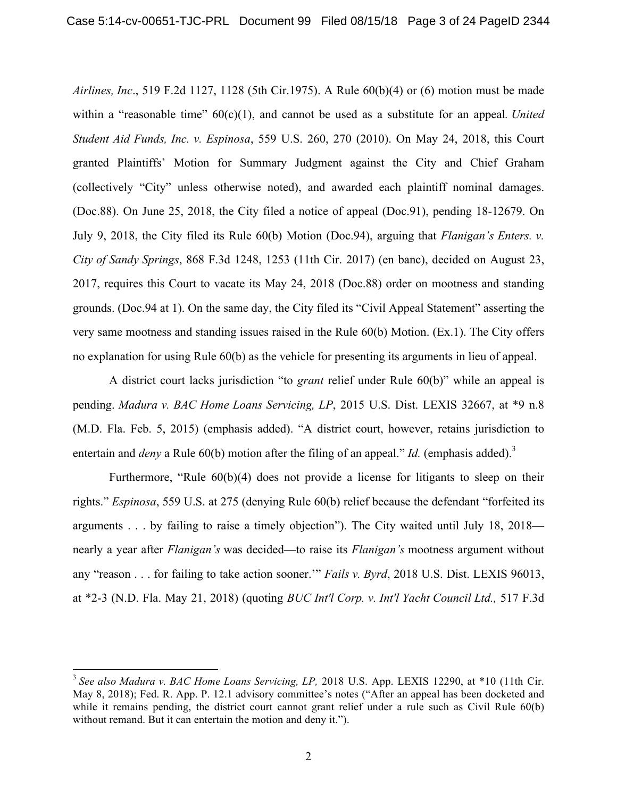*Airlines, Inc*., 519 F.2d 1127, 1128 (5th Cir.1975). A Rule 60(b)(4) or (6) motion must be made within a "reasonable time"  $60(c)(1)$ , and cannot be used as a substitute for an appeal. *United Student Aid Funds, Inc. v. Espinosa*, 559 U.S. 260, 270 (2010). On May 24, 2018, this Court granted Plaintiffs' Motion for Summary Judgment against the City and Chief Graham (collectively "City" unless otherwise noted), and awarded each plaintiff nominal damages. (Doc.88). On June 25, 2018, the City filed a notice of appeal (Doc.91), pending 18-12679. On July 9, 2018, the City filed its Rule 60(b) Motion (Doc.94), arguing that *Flanigan's Enters. v. City of Sandy Springs*, 868 F.3d 1248, 1253 (11th Cir. 2017) (en banc), decided on August 23, 2017, requires this Court to vacate its May 24, 2018 (Doc.88) order on mootness and standing grounds. (Doc.94 at 1). On the same day, the City filed its "Civil Appeal Statement" asserting the very same mootness and standing issues raised in the Rule 60(b) Motion. (Ex.1). The City offers no explanation for using Rule 60(b) as the vehicle for presenting its arguments in lieu of appeal.

A district court lacks jurisdiction "to *grant* relief under Rule 60(b)" while an appeal is pending. *Madura v. BAC Home Loans Servicing, LP*, 2015 U.S. Dist. LEXIS 32667, at \*9 n.8 (M.D. Fla. Feb. 5, 2015) (emphasis added). "A district court, however, retains jurisdiction to entertain and *deny* a Rule 60(b) motion after the filing of an appeal." *Id.* (emphasis added).<sup>3</sup>

Furthermore, "Rule 60(b)(4) does not provide a license for litigants to sleep on their rights." *Espinosa*, 559 U.S. at 275 (denying Rule 60(b) relief because the defendant "forfeited its arguments . . . by failing to raise a timely objection"). The City waited until July 18, 2018 nearly a year after *Flanigan's* was decided—to raise its *Flanigan's* mootness argument without any "reason . . . for failing to take action sooner.'" *Fails v. Byrd*, 2018 U.S. Dist. LEXIS 96013, at \*2-3 (N.D. Fla. May 21, 2018) (quoting *BUC Int'l Corp. v. Int'l Yacht Council Ltd.,* 517 F.3d

 <sup>3</sup> *See also Madura v. BAC Home Loans Servicing, LP,* 2018 U.S. App. LEXIS 12290, at \*10 (11th Cir. May 8, 2018); Fed. R. App. P. 12.1 advisory committee's notes ("After an appeal has been docketed and while it remains pending, the district court cannot grant relief under a rule such as Civil Rule 60(b) without remand. But it can entertain the motion and deny it.").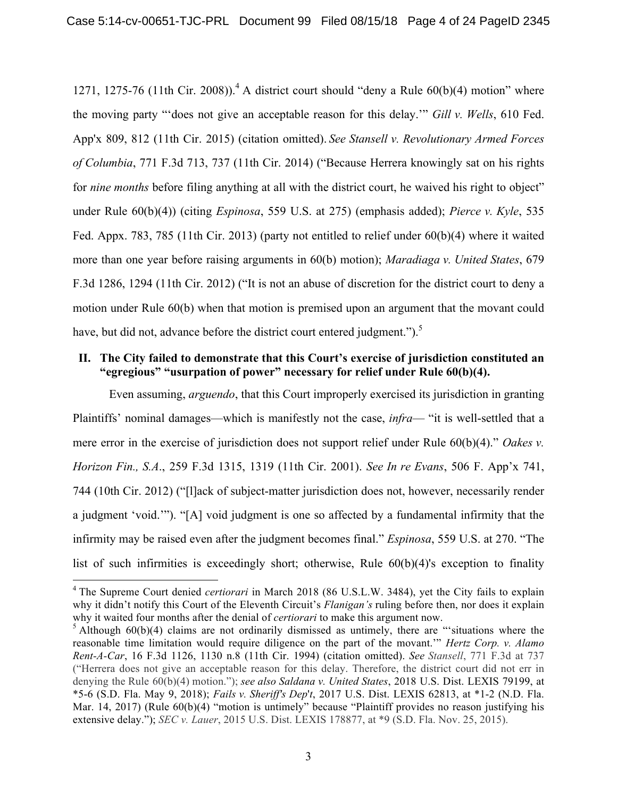1271, 1275-76 (11th Cir. 2008)).<sup>4</sup> A district court should "deny a Rule 60(b)(4) motion" where the moving party "'does not give an acceptable reason for this delay.'" *Gill v. Wells*, 610 Fed. App'x 809, 812 (11th Cir. 2015) (citation omitted). *See Stansell v. Revolutionary Armed Forces of Columbia*, 771 F.3d 713, 737 (11th Cir. 2014) ("Because Herrera knowingly sat on his rights for *nine months* before filing anything at all with the district court, he waived his right to object" under Rule 60(b)(4)) (citing *Espinosa*, 559 U.S. at 275) (emphasis added); *Pierce v. Kyle*, 535 Fed. Appx. 783, 785 (11th Cir. 2013) (party not entitled to relief under 60(b)(4) where it waited more than one year before raising arguments in 60(b) motion); *Maradiaga v. United States*, 679 F.3d 1286, 1294 (11th Cir. 2012) ("It is not an abuse of discretion for the district court to deny a motion under Rule 60(b) when that motion is premised upon an argument that the movant could have, but did not, advance before the district court entered judgment.").<sup>5</sup>

### **II. The City failed to demonstrate that this Court's exercise of jurisdiction constituted an "egregious" "usurpation of power" necessary for relief under Rule 60(b)(4).**

Even assuming, *arguendo*, that this Court improperly exercised its jurisdiction in granting Plaintiffs' nominal damages—which is manifestly not the case, *infra*— "it is well-settled that a mere error in the exercise of jurisdiction does not support relief under Rule 60(b)(4)." *Oakes v. Horizon Fin., S.A*., 259 F.3d 1315, 1319 (11th Cir. 2001). *See In re Evans*, 506 F. App'x 741, 744 (10th Cir. 2012) ("[l]ack of subject-matter jurisdiction does not, however, necessarily render a judgment 'void.'"). "[A] void judgment is one so affected by a fundamental infirmity that the infirmity may be raised even after the judgment becomes final." *Espinosa*, 559 U.S. at 270. "The list of such infirmities is exceedingly short; otherwise, Rule 60(b)(4)'s exception to finality

 <sup>4</sup> The Supreme Court denied *certiorari* in March 2018 (86 U.S.L.W. 3484), yet the City fails to explain why it didn't notify this Court of the Eleventh Circuit's *Flanigan's* ruling before then, nor does it explain why it waited four months after the denial of *certiorari* to make this argument now.

 $5$  Although 60(b)(4) claims are not ordinarily dismissed as untimely, there are "situations where the reasonable time limitation would require diligence on the part of the movant.'" *Hertz Corp. v. Alamo Rent-A-Car*, 16 F.3d 1126, 1130 n.8 (11th Cir. 1994) (citation omitted). *See Stansell*, 771 F.3d at 737 ("Herrera does not give an acceptable reason for this delay. Therefore, the district court did not err in denying the Rule 60(b)(4) motion."); *see also Saldana v. United States*, 2018 U.S. Dist. LEXIS 79199, at \*5-6 (S.D. Fla. May 9, 2018); *Fails v. Sheriff's Dep*'*t*, 2017 U.S. Dist. LEXIS 62813, at \*1-2 (N.D. Fla. Mar. 14, 2017) (Rule 60(b)(4) "motion is untimely" because "Plaintiff provides no reason justifying his extensive delay."); *SEC v. Lauer*, 2015 U.S. Dist. LEXIS 178877, at \*9 (S.D. Fla. Nov. 25, 2015).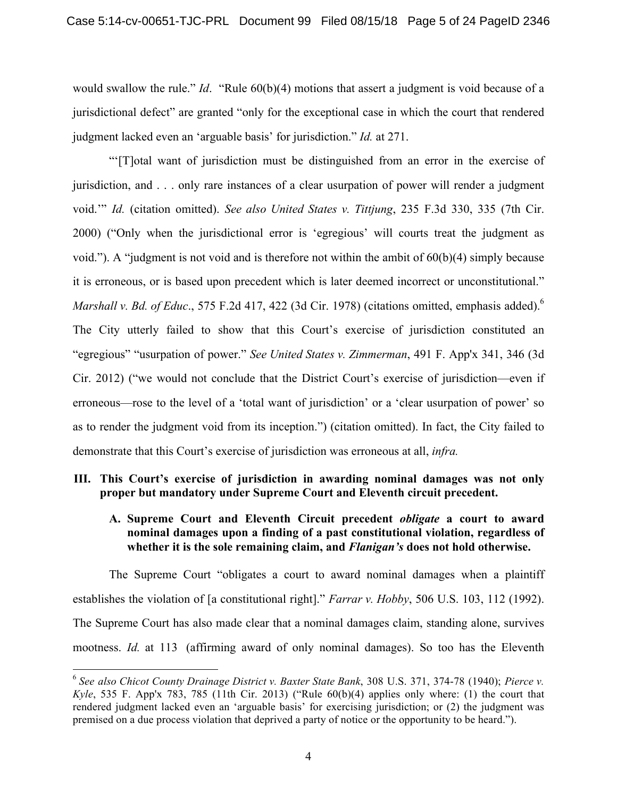would swallow the rule." *Id*. "Rule 60(b)(4) motions that assert a judgment is void because of a jurisdictional defect" are granted "only for the exceptional case in which the court that rendered judgment lacked even an 'arguable basis' for jurisdiction." *Id.* at 271.

"'[T]otal want of jurisdiction must be distinguished from an error in the exercise of jurisdiction, and . . . only rare instances of a clear usurpation of power will render a judgment void.'" *Id.* (citation omitted). *See also United States v. Tittjung*, 235 F.3d 330, 335 (7th Cir. 2000) ("Only when the jurisdictional error is 'egregious' will courts treat the judgment as void."). A "judgment is not void and is therefore not within the ambit of  $60(b)(4)$  simply because it is erroneous, or is based upon precedent which is later deemed incorrect or unconstitutional." *Marshall v. Bd. of Educ*., 575 F.2d 417, 422 (3d Cir. 1978) (citations omitted, emphasis added). 6 The City utterly failed to show that this Court's exercise of jurisdiction constituted an "egregious" "usurpation of power." *See United States v. Zimmerman*, 491 F. App'x 341, 346 (3d Cir. 2012) ("we would not conclude that the District Court's exercise of jurisdiction—even if erroneous—rose to the level of a 'total want of jurisdiction' or a 'clear usurpation of power' so as to render the judgment void from its inception.") (citation omitted). In fact, the City failed to demonstrate that this Court's exercise of jurisdiction was erroneous at all, *infra.*

## **III. This Court's exercise of jurisdiction in awarding nominal damages was not only proper but mandatory under Supreme Court and Eleventh circuit precedent.**

## **A. Supreme Court and Eleventh Circuit precedent** *obligate* **a court to award nominal damages upon a finding of a past constitutional violation, regardless of whether it is the sole remaining claim, and** *Flanigan's* **does not hold otherwise.**

The Supreme Court "obligates a court to award nominal damages when a plaintiff establishes the violation of [a constitutional right]." *Farrar v. Hobby*, 506 U.S. 103, 112 (1992). The Supreme Court has also made clear that a nominal damages claim, standing alone, survives mootness. *Id.* at 113 (affirming award of only nominal damages). So too has the Eleventh

 <sup>6</sup> *See also Chicot County Drainage District v. Baxter State Bank*, 308 U.S. 371, 374-78 (1940); *Pierce v. Kyle*, 535 F. App'x 783, 785 (11th Cir. 2013) ("Rule 60(b)(4) applies only where: (1) the court that rendered judgment lacked even an 'arguable basis' for exercising jurisdiction; or (2) the judgment was premised on a due process violation that deprived a party of notice or the opportunity to be heard.").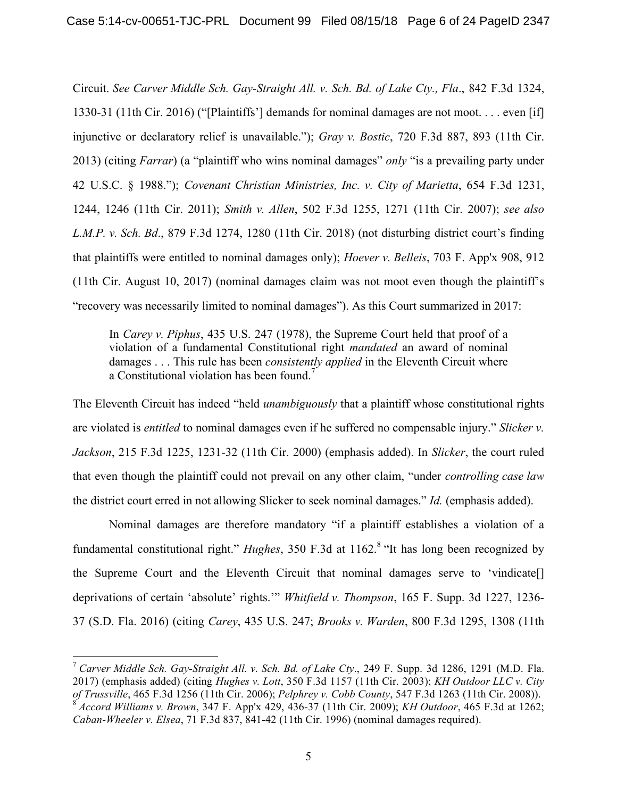Circuit. *See Carver Middle Sch. Gay-Straight All. v. Sch. Bd. of Lake Cty., Fla*., 842 F.3d 1324, 1330-31 (11th Cir. 2016) ("[Plaintiffs'] demands for nominal damages are not moot. . . . even [if] injunctive or declaratory relief is unavailable."); *Gray v. Bostic*, 720 F.3d 887, 893 (11th Cir. 2013) (citing *Farrar*) (a "plaintiff who wins nominal damages" *only* "is a prevailing party under 42 U.S.C. § 1988."); *Covenant Christian Ministries, Inc. v. City of Marietta*, 654 F.3d 1231, 1244, 1246 (11th Cir. 2011); *Smith v. Allen*, 502 F.3d 1255, 1271 (11th Cir. 2007); *see also L.M.P. v. Sch. Bd*., 879 F.3d 1274, 1280 (11th Cir. 2018) (not disturbing district court's finding that plaintiffs were entitled to nominal damages only); *Hoever v. Belleis*, 703 F. App'x 908, 912 (11th Cir. August 10, 2017) (nominal damages claim was not moot even though the plaintiff's "recovery was necessarily limited to nominal damages"). As this Court summarized in 2017:

In *Carey v. Piphus*, 435 U.S. 247 (1978), the Supreme Court held that proof of a violation of a fundamental Constitutional right *mandated* an award of nominal damages . . . This rule has been *consistently applied* in the Eleventh Circuit where a Constitutional violation has been found. 7

The Eleventh Circuit has indeed "held *unambiguously* that a plaintiff whose constitutional rights are violated is *entitled* to nominal damages even if he suffered no compensable injury." *Slicker v. Jackson*, 215 F.3d 1225, 1231-32 (11th Cir. 2000) (emphasis added). In *Slicker*, the court ruled that even though the plaintiff could not prevail on any other claim, "under *controlling case law* the district court erred in not allowing Slicker to seek nominal damages." *Id.* (emphasis added).

Nominal damages are therefore mandatory "if a plaintiff establishes a violation of a fundamental constitutional right." *Hughes*, 350 F.3d at 1162. <sup>8</sup> "It has long been recognized by the Supreme Court and the Eleventh Circuit that nominal damages serve to 'vindicate[] deprivations of certain 'absolute' rights.'" *Whitfield v. Thompson*, 165 F. Supp. 3d 1227, 1236- 37 (S.D. Fla. 2016) (citing *Carey*, 435 U.S. 247; *Brooks v. Warden*, 800 F.3d 1295, 1308 (11th

 <sup>7</sup> *Carver Middle Sch. Gay-Straight All. v. Sch. Bd. of Lake Cty*., 249 F. Supp. 3d 1286, 1291 (M.D. Fla. 2017) (emphasis added) (citing *Hughes v. Lott*, 350 F.3d 1157 (11th Cir. 2003); *KH Outdoor LLC v. City of Trussville*, 465 F.3d 1256 (11th Cir. 2006); *Pelphrey v. Cobb County*, 547 F.3d 1263 (11th Cir. 2008)). <sup>8</sup> *Accord Williams v. Brown*, 347 F. App'x 429, 436-37 (11th Cir. 2009); *KH Outdoor*, 465 F.3d at 1262; *Caban-Wheeler v. Elsea*, 71 F.3d 837, 841-42 (11th Cir. 1996) (nominal damages required).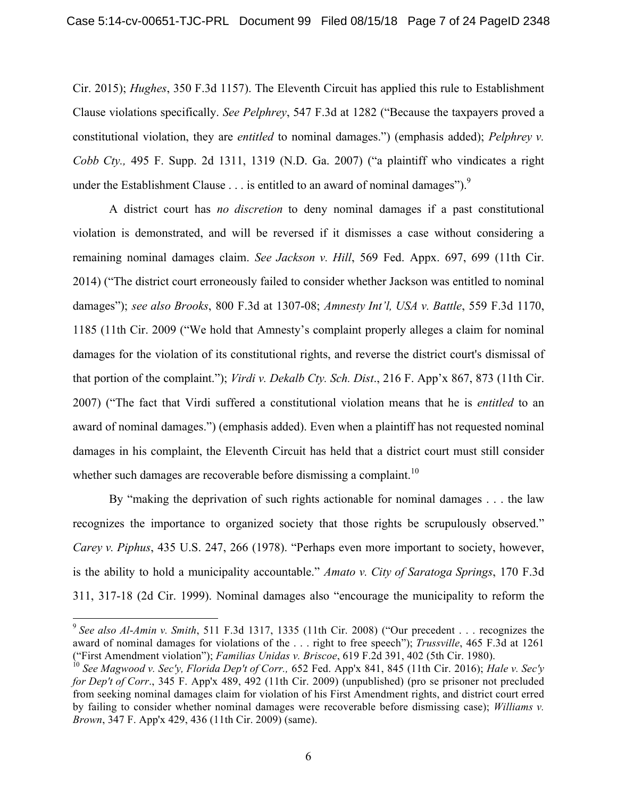Cir. 2015); *Hughes*, 350 F.3d 1157). The Eleventh Circuit has applied this rule to Establishment Clause violations specifically. *See Pelphrey*, 547 F.3d at 1282 ("Because the taxpayers proved a constitutional violation, they are *entitled* to nominal damages.") (emphasis added); *Pelphrey v. Cobb Cty.,* 495 F. Supp. 2d 1311, 1319 (N.D. Ga. 2007) ("a plaintiff who vindicates a right under the Establishment Clause  $\ldots$  is entitled to an award of nominal damages").<sup>9</sup>

A district court has *no discretion* to deny nominal damages if a past constitutional violation is demonstrated, and will be reversed if it dismisses a case without considering a remaining nominal damages claim. *See Jackson v. Hill*, 569 Fed. Appx. 697, 699 (11th Cir. 2014) ("The district court erroneously failed to consider whether Jackson was entitled to nominal damages"); *see also Brooks*, 800 F.3d at 1307-08; *Amnesty Int'l, USA v. Battle*, 559 F.3d 1170, 1185 (11th Cir. 2009 ("We hold that Amnesty's complaint properly alleges a claim for nominal damages for the violation of its constitutional rights, and reverse the district court's dismissal of that portion of the complaint."); *Virdi v. Dekalb Cty. Sch. Dist*., 216 F. App'x 867, 873 (11th Cir. 2007) ("The fact that Virdi suffered a constitutional violation means that he is *entitled* to an award of nominal damages.") (emphasis added). Even when a plaintiff has not requested nominal damages in his complaint, the Eleventh Circuit has held that a district court must still consider whether such damages are recoverable before dismissing a complaint.<sup>10</sup>

By "making the deprivation of such rights actionable for nominal damages . . . the law recognizes the importance to organized society that those rights be scrupulously observed." *Carey v. Piphus*, 435 U.S. 247, 266 (1978). "Perhaps even more important to society, however, is the ability to hold a municipality accountable." *Amato v. City of Saratoga Springs*, 170 F.3d 311, 317-18 (2d Cir. 1999). Nominal damages also "encourage the municipality to reform the

 <sup>9</sup> *See also Al*-*Amin v. Smith*, 511 F.3d 1317, 1335 (11th Cir. 2008) ("Our precedent . . . recognizes the award of nominal damages for violations of the . . . right to free speech"); *Trussville*, 465 F.3d at 1261 ("First Amendment violation"); *Familias Unidas v. Briscoe*, 619 F.2d 391, 402 (5th Cir. 1980).

<sup>10</sup> *See Magwood v. Sec'y, Florida Dep't of Corr.,* 652 Fed. App'x 841, 845 (11th Cir. 2016); *Hale v. Sec'y for Dep't of Corr*., 345 F. App'x 489, 492 (11th Cir. 2009) (unpublished) (pro se prisoner not precluded from seeking nominal damages claim for violation of his First Amendment rights, and district court erred by failing to consider whether nominal damages were recoverable before dismissing case); *Williams v. Brown*, 347 F. App'x 429, 436 (11th Cir. 2009) (same).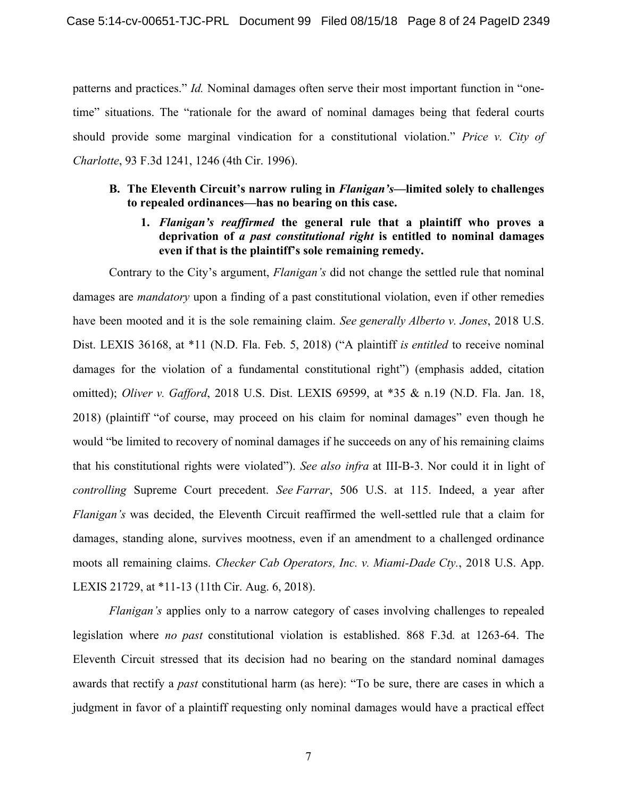patterns and practices." *Id.* Nominal damages often serve their most important function in "onetime" situations. The "rationale for the award of nominal damages being that federal courts should provide some marginal vindication for a constitutional violation." *Price v. City of Charlotte*, 93 F.3d 1241, 1246 (4th Cir. 1996).

#### **B. The Eleventh Circuit's narrow ruling in** *Flanigan's—***limited solely to challenges to repealed ordinances—has no bearing on this case.**

**1.** *Flanigan's reaffirmed* **the general rule that a plaintiff who proves a deprivation of** *a past constitutional right* **is entitled to nominal damages even if that is the plaintiff's sole remaining remedy.**

Contrary to the City's argument, *Flanigan's* did not change the settled rule that nominal damages are *mandatory* upon a finding of a past constitutional violation, even if other remedies have been mooted and it is the sole remaining claim. *See generally Alberto v. Jones*, 2018 U.S. Dist. LEXIS 36168, at \*11 (N.D. Fla. Feb. 5, 2018) ("A plaintiff *is entitled* to receive nominal damages for the violation of a fundamental constitutional right") (emphasis added, citation omitted); *Oliver v. Gafford*, 2018 U.S. Dist. LEXIS 69599, at \*35 & n.19 (N.D. Fla. Jan. 18, 2018) (plaintiff "of course, may proceed on his claim for nominal damages" even though he would "be limited to recovery of nominal damages if he succeeds on any of his remaining claims that his constitutional rights were violated"). *See also infra* at III-B-3. Nor could it in light of *controlling* Supreme Court precedent. *See Farrar*, 506 U.S. at 115. Indeed, a year after *Flanigan's* was decided, the Eleventh Circuit reaffirmed the well-settled rule that a claim for damages, standing alone, survives mootness, even if an amendment to a challenged ordinance moots all remaining claims. *Checker Cab Operators, Inc. v. Miami-Dade Cty.*, 2018 U.S. App. LEXIS 21729, at \*11-13 (11th Cir. Aug. 6, 2018).

*Flanigan's* applies only to a narrow category of cases involving challenges to repealed legislation where *no past* constitutional violation is established. 868 F.3d*.* at 1263-64. The Eleventh Circuit stressed that its decision had no bearing on the standard nominal damages awards that rectify a *past* constitutional harm (as here): "To be sure, there are cases in which a judgment in favor of a plaintiff requesting only nominal damages would have a practical effect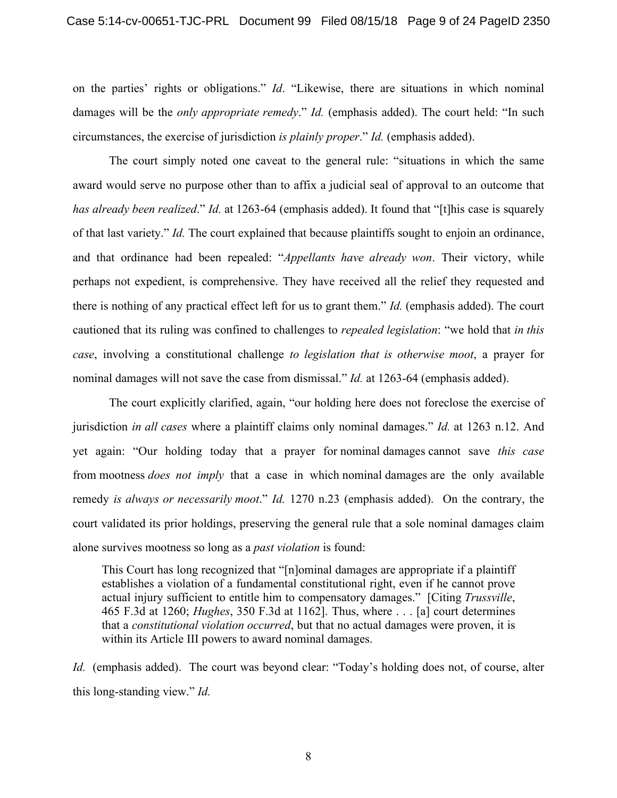on the parties' rights or obligations." *Id*. "Likewise, there are situations in which nominal damages will be the *only appropriate remedy*." *Id.* (emphasis added). The court held: "In such circumstances, the exercise of jurisdiction *is plainly proper*." *Id.* (emphasis added).

The court simply noted one caveat to the general rule: "situations in which the same award would serve no purpose other than to affix a judicial seal of approval to an outcome that *has already been realized*." *Id.* at 1263-64 (emphasis added). It found that "[t]his case is squarely of that last variety." *Id.* The court explained that because plaintiffs sought to enjoin an ordinance, and that ordinance had been repealed: "*Appellants have already won*. Their victory, while perhaps not expedient, is comprehensive. They have received all the relief they requested and there is nothing of any practical effect left for us to grant them." *Id.* (emphasis added). The court cautioned that its ruling was confined to challenges to *repealed legislation*: "we hold that *in this case*, involving a constitutional challenge *to legislation that is otherwise moot*, a prayer for nominal damages will not save the case from dismissal." *Id.* at 1263-64 (emphasis added).

The court explicitly clarified, again, "our holding here does not foreclose the exercise of jurisdiction *in all cases* where a plaintiff claims only nominal damages." *Id.* at 1263 n.12. And yet again: "Our holding today that a prayer for nominal damages cannot save *this case* from mootness *does not imply* that a case in which nominal damages are the only available remedy *is always or necessarily moot*." *Id.* 1270 n.23 (emphasis added). On the contrary, the court validated its prior holdings, preserving the general rule that a sole nominal damages claim alone survives mootness so long as a *past violation* is found:

This Court has long recognized that "[n]ominal damages are appropriate if a plaintiff establishes a violation of a fundamental constitutional right, even if he cannot prove actual injury sufficient to entitle him to compensatory damages." [Citing *Trussville*, 465 F.3d at 1260; *Hughes*, 350 F.3d at 1162]. Thus, where . . . [a] court determines that a *constitutional violation occurred*, but that no actual damages were proven, it is within its Article III powers to award nominal damages.

*Id.* (emphasis added). The court was beyond clear: "Today's holding does not, of course, alter this long-standing view." *Id.*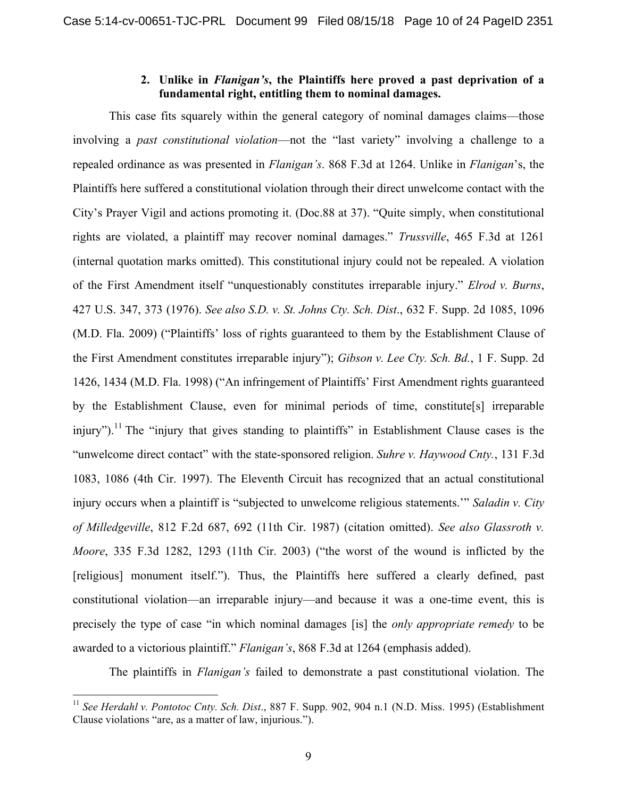### **2. Unlike in** *Flanigan's***, the Plaintiffs here proved a past deprivation of a fundamental right, entitling them to nominal damages.**

This case fits squarely within the general category of nominal damages claims—those involving a *past constitutional violation*—not the "last variety" involving a challenge to a repealed ordinance as was presented in *Flanigan's*. 868 F.3d at 1264. Unlike in *Flanigan*'s, the Plaintiffs here suffered a constitutional violation through their direct unwelcome contact with the City's Prayer Vigil and actions promoting it. (Doc.88 at 37). "Quite simply, when constitutional rights are violated, a plaintiff may recover nominal damages." *Trussville*, 465 F.3d at 1261 (internal quotation marks omitted). This constitutional injury could not be repealed. A violation of the First Amendment itself "unquestionably constitutes irreparable injury." *Elrod v. Burns*, 427 U.S. 347, 373 (1976). *See also S.D. v. St. Johns Cty. Sch. Dist*., 632 F. Supp. 2d 1085, 1096 (M.D. Fla. 2009) ("Plaintiffs' loss of rights guaranteed to them by the Establishment Clause of the First Amendment constitutes irreparable injury"); *Gibson v. Lee Cty. Sch. Bd.*, 1 F. Supp. 2d 1426, 1434 (M.D. Fla. 1998) ("An infringement of Plaintiffs' First Amendment rights guaranteed by the Establishment Clause, even for minimal periods of time, constitute[s] irreparable injury").<sup>11</sup> The "injury that gives standing to plaintiffs" in Establishment Clause cases is the "unwelcome direct contact" with the state-sponsored religion. *Suhre v. Haywood Cnty.*, 131 F.3d 1083, 1086 (4th Cir. 1997). The Eleventh Circuit has recognized that an actual constitutional injury occurs when a plaintiff is "subjected to unwelcome religious statements.'" *Saladin v. City of Milledgeville*, 812 F.2d 687, 692 (11th Cir. 1987) (citation omitted). *See also Glassroth v. Moore*, 335 F.3d 1282, 1293 (11th Cir. 2003) ("the worst of the wound is inflicted by the [religious] monument itself."). Thus, the Plaintiffs here suffered a clearly defined, past constitutional violation—an irreparable injury—and because it was a one-time event, this is precisely the type of case "in which nominal damages [is] the *only appropriate remedy* to be awarded to a victorious plaintiff." *Flanigan's*, 868 F.3d at 1264 (emphasis added).

The plaintiffs in *Flanigan's* failed to demonstrate a past constitutional violation. The

 <sup>11</sup> *See Herdahl v. Pontotoc Cnty. Sch. Dist*., 887 F. Supp. 902, 904 n.1 (N.D. Miss. 1995) (Establishment Clause violations "are, as a matter of law, injurious.").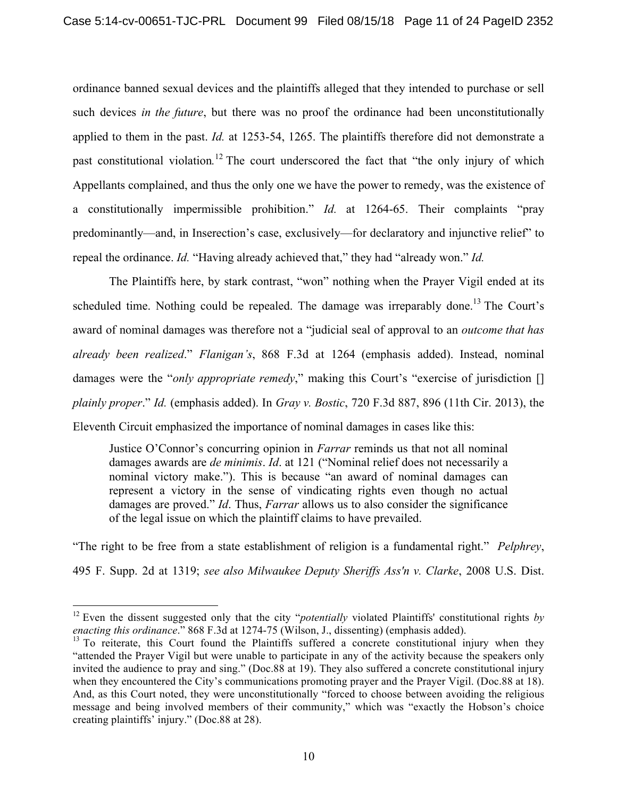ordinance banned sexual devices and the plaintiffs alleged that they intended to purchase or sell such devices *in the future*, but there was no proof the ordinance had been unconstitutionally applied to them in the past. *Id.* at 1253-54, 1265. The plaintiffs therefore did not demonstrate a past constitutional violation*.* <sup>12</sup> The court underscored the fact that "the only injury of which Appellants complained, and thus the only one we have the power to remedy, was the existence of a constitutionally impermissible prohibition." *Id.* at 1264-65. Their complaints "pray predominantly—and, in Inserection's case, exclusively—for declaratory and injunctive relief" to repeal the ordinance. *Id.* "Having already achieved that," they had "already won." *Id.* 

The Plaintiffs here, by stark contrast, "won" nothing when the Prayer Vigil ended at its scheduled time. Nothing could be repealed. The damage was irreparably done.<sup>13</sup> The Court's award of nominal damages was therefore not a "judicial seal of approval to an *outcome that has already been realized*." *Flanigan's*, 868 F.3d at 1264 (emphasis added). Instead, nominal damages were the "*only appropriate remedy*," making this Court's "exercise of jurisdiction [] *plainly proper*." *Id.* (emphasis added). In *Gray v. Bostic*, 720 F.3d 887, 896 (11th Cir. 2013), the Eleventh Circuit emphasized the importance of nominal damages in cases like this:

Justice O'Connor's concurring opinion in *Farrar* reminds us that not all nominal damages awards are *de minimis*. *Id*. at 121 ("Nominal relief does not necessarily a nominal victory make."). This is because "an award of nominal damages can represent a victory in the sense of vindicating rights even though no actual damages are proved." *Id*. Thus, *Farrar* allows us to also consider the significance of the legal issue on which the plaintiff claims to have prevailed.

"The right to be free from a state establishment of religion is a fundamental right." *Pelphrey*, 495 F. Supp. 2d at 1319; *see also Milwaukee Deputy Sheriffs Ass'n v. Clarke*, 2008 U.S. Dist.

 <sup>12</sup> Even the dissent suggested only that the city "*potentially* violated Plaintiffs' constitutional rights *by enacting this ordinance*." 868 F.3d at 1274-75 (Wilson, J., dissenting) (emphasis added).

<sup>&</sup>lt;sup>13</sup> To reiterate, this Court found the Plaintiffs suffered a concrete constitutional injury when they "attended the Prayer Vigil but were unable to participate in any of the activity because the speakers only invited the audience to pray and sing." (Doc.88 at 19). They also suffered a concrete constitutional injury when they encountered the City's communications promoting prayer and the Prayer Vigil. (Doc.88 at 18). And, as this Court noted, they were unconstitutionally "forced to choose between avoiding the religious message and being involved members of their community," which was "exactly the Hobson's choice creating plaintiffs' injury." (Doc.88 at 28).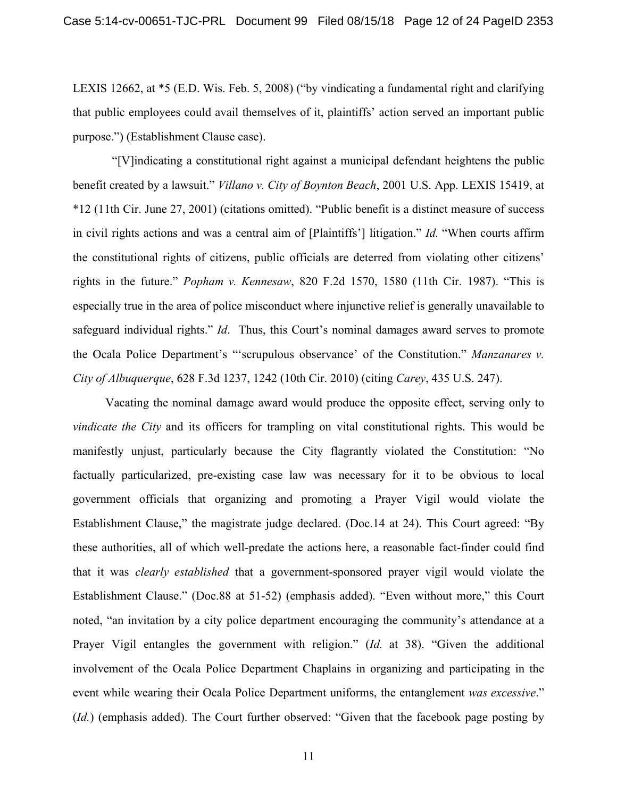LEXIS 12662, at \*5 (E.D. Wis. Feb. 5, 2008) ("by vindicating a fundamental right and clarifying that public employees could avail themselves of it, plaintiffs' action served an important public purpose.") (Establishment Clause case).

"[V]indicating a constitutional right against a municipal defendant heightens the public benefit created by a lawsuit." *Villano v. City of Boynton Beach*, 2001 U.S. App. LEXIS 15419, at \*12 (11th Cir. June 27, 2001) (citations omitted). "Public benefit is a distinct measure of success in civil rights actions and was a central aim of [Plaintiffs'] litigation." *Id.* "When courts affirm the constitutional rights of citizens, public officials are deterred from violating other citizens' rights in the future." *Popham v. Kennesaw*, 820 F.2d 1570, 1580 (11th Cir. 1987). "This is especially true in the area of police misconduct where injunctive relief is generally unavailable to safeguard individual rights." *Id*. Thus, this Court's nominal damages award serves to promote the Ocala Police Department's "'scrupulous observance' of the Constitution." *Manzanares v. City of Albuquerque*, 628 F.3d 1237, 1242 (10th Cir. 2010) (citing *Carey*, 435 U.S. 247).

Vacating the nominal damage award would produce the opposite effect, serving only to *vindicate the City* and its officers for trampling on vital constitutional rights. This would be manifestly unjust, particularly because the City flagrantly violated the Constitution: "No factually particularized, pre-existing case law was necessary for it to be obvious to local government officials that organizing and promoting a Prayer Vigil would violate the Establishment Clause," the magistrate judge declared. (Doc.14 at 24). This Court agreed: "By these authorities, all of which well-predate the actions here, a reasonable fact-finder could find that it was *clearly established* that a government-sponsored prayer vigil would violate the Establishment Clause." (Doc.88 at 51-52) (emphasis added). "Even without more," this Court noted, "an invitation by a city police department encouraging the community's attendance at a Prayer Vigil entangles the government with religion." (*Id.* at 38). "Given the additional involvement of the Ocala Police Department Chaplains in organizing and participating in the event while wearing their Ocala Police Department uniforms, the entanglement *was excessive*." (*Id.*) (emphasis added). The Court further observed: "Given that the facebook page posting by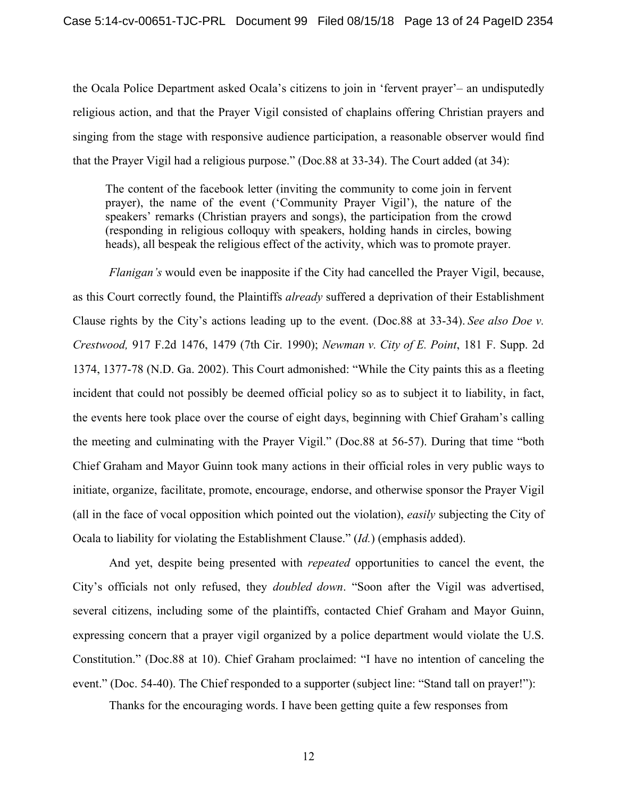the Ocala Police Department asked Ocala's citizens to join in 'fervent prayer'– an undisputedly religious action, and that the Prayer Vigil consisted of chaplains offering Christian prayers and singing from the stage with responsive audience participation, a reasonable observer would find that the Prayer Vigil had a religious purpose." (Doc.88 at 33-34). The Court added (at 34):

The content of the facebook letter (inviting the community to come join in fervent prayer), the name of the event ('Community Prayer Vigil'), the nature of the speakers' remarks (Christian prayers and songs), the participation from the crowd (responding in religious colloquy with speakers, holding hands in circles, bowing heads), all bespeak the religious effect of the activity, which was to promote prayer.

*Flanigan's* would even be inapposite if the City had cancelled the Prayer Vigil, because, as this Court correctly found, the Plaintiffs *already* suffered a deprivation of their Establishment Clause rights by the City's actions leading up to the event. (Doc.88 at 33-34). *See also Doe v. Crestwood,* 917 F.2d 1476, 1479 (7th Cir. 1990); *Newman v. City of E. Point*, 181 F. Supp. 2d 1374, 1377-78 (N.D. Ga. 2002). This Court admonished: "While the City paints this as a fleeting incident that could not possibly be deemed official policy so as to subject it to liability, in fact, the events here took place over the course of eight days, beginning with Chief Graham's calling the meeting and culminating with the Prayer Vigil." (Doc.88 at 56-57). During that time "both Chief Graham and Mayor Guinn took many actions in their official roles in very public ways to initiate, organize, facilitate, promote, encourage, endorse, and otherwise sponsor the Prayer Vigil (all in the face of vocal opposition which pointed out the violation), *easily* subjecting the City of Ocala to liability for violating the Establishment Clause." (*Id.*) (emphasis added).

And yet, despite being presented with *repeated* opportunities to cancel the event, the City's officials not only refused, they *doubled down*. "Soon after the Vigil was advertised, several citizens, including some of the plaintiffs, contacted Chief Graham and Mayor Guinn, expressing concern that a prayer vigil organized by a police department would violate the U.S. Constitution." (Doc.88 at 10). Chief Graham proclaimed: "I have no intention of canceling the event." (Doc. 54-40). The Chief responded to a supporter (subject line: "Stand tall on prayer!"):

Thanks for the encouraging words. I have been getting quite a few responses from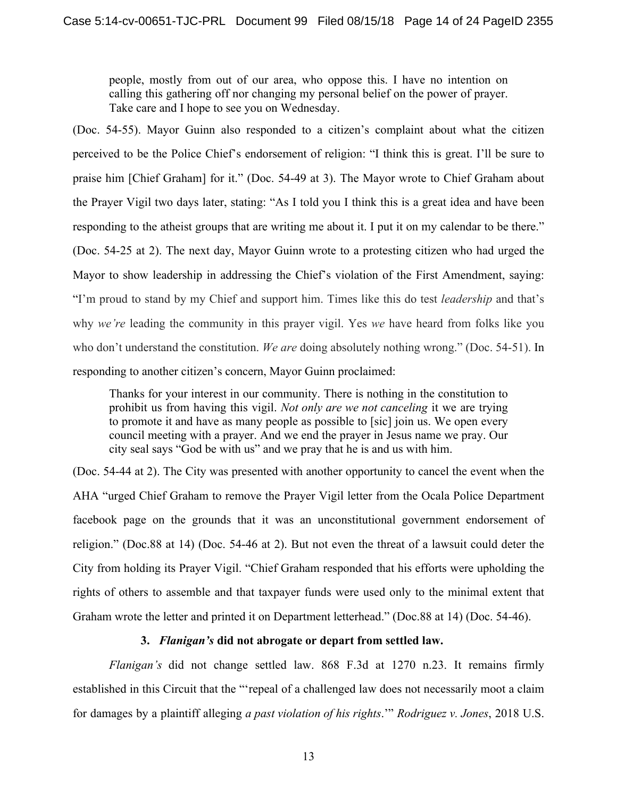people, mostly from out of our area, who oppose this. I have no intention on calling this gathering off nor changing my personal belief on the power of prayer. Take care and I hope to see you on Wednesday.

(Doc. 54-55). Mayor Guinn also responded to a citizen's complaint about what the citizen perceived to be the Police Chief's endorsement of religion: "I think this is great. I'll be sure to praise him [Chief Graham] for it." (Doc. 54-49 at 3). The Mayor wrote to Chief Graham about the Prayer Vigil two days later, stating: "As I told you I think this is a great idea and have been responding to the atheist groups that are writing me about it. I put it on my calendar to be there." (Doc. 54-25 at 2). The next day, Mayor Guinn wrote to a protesting citizen who had urged the Mayor to show leadership in addressing the Chief's violation of the First Amendment, saying: "I'm proud to stand by my Chief and support him. Times like this do test *leadership* and that's why *we're* leading the community in this prayer vigil. Yes *we* have heard from folks like you who don't understand the constitution. *We are* doing absolutely nothing wrong." (Doc. 54-51). In responding to another citizen's concern, Mayor Guinn proclaimed:

Thanks for your interest in our community. There is nothing in the constitution to prohibit us from having this vigil. *Not only are we not canceling* it we are trying to promote it and have as many people as possible to [sic] join us. We open every council meeting with a prayer. And we end the prayer in Jesus name we pray. Our city seal says "God be with us" and we pray that he is and us with him.

(Doc. 54-44 at 2). The City was presented with another opportunity to cancel the event when the AHA "urged Chief Graham to remove the Prayer Vigil letter from the Ocala Police Department facebook page on the grounds that it was an unconstitutional government endorsement of religion." (Doc.88 at 14) (Doc. 54-46 at 2). But not even the threat of a lawsuit could deter the City from holding its Prayer Vigil. "Chief Graham responded that his efforts were upholding the rights of others to assemble and that taxpayer funds were used only to the minimal extent that Graham wrote the letter and printed it on Department letterhead." (Doc.88 at 14) (Doc. 54-46).

#### **3.** *Flanigan's* **did not abrogate or depart from settled law.**

*Flanigan's* did not change settled law. 868 F.3d at 1270 n.23. It remains firmly established in this Circuit that the "'repeal of a challenged law does not necessarily moot a claim for damages by a plaintiff alleging *a past violation of his rights*.'" *Rodriguez v. Jones*, 2018 U.S.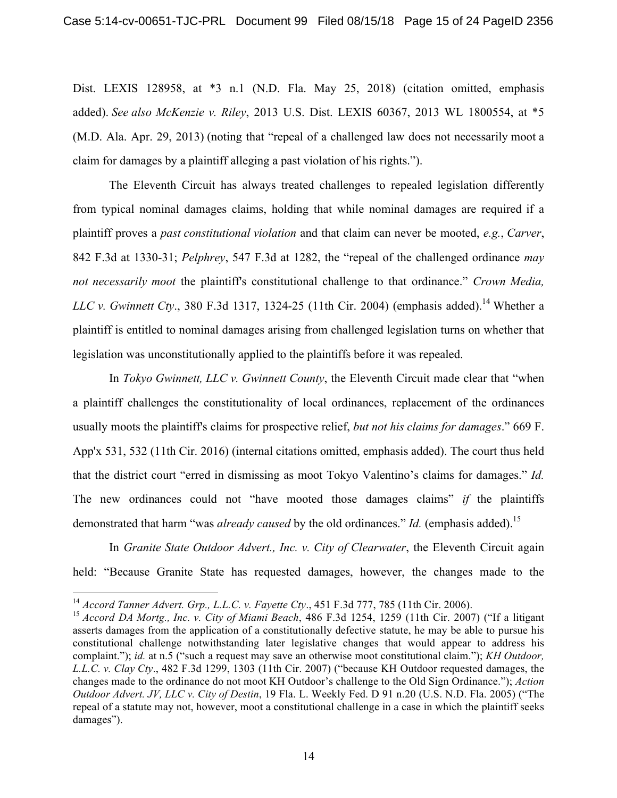Dist. LEXIS 128958, at \*3 n.1 (N.D. Fla. May 25, 2018) (citation omitted, emphasis added). *See also McKenzie v. Riley*, 2013 U.S. Dist. LEXIS 60367, 2013 WL 1800554, at \*5 (M.D. Ala. Apr. 29, 2013) (noting that "repeal of a challenged law does not necessarily moot a claim for damages by a plaintiff alleging a past violation of his rights.").

The Eleventh Circuit has always treated challenges to repealed legislation differently from typical nominal damages claims, holding that while nominal damages are required if a plaintiff proves a *past constitutional violation* and that claim can never be mooted, *e.g.*, *Carver*, 842 F.3d at 1330-31; *Pelphrey*, 547 F.3d at 1282, the "repeal of the challenged ordinance *may not necessarily moot* the plaintiff's constitutional challenge to that ordinance." *Crown Media, LLC v. Gwinnett Cty.*, 380 F.3d 1317, 1324-25 (11th Cir. 2004) (emphasis added).<sup>14</sup> Whether a plaintiff is entitled to nominal damages arising from challenged legislation turns on whether that legislation was unconstitutionally applied to the plaintiffs before it was repealed.

In *Tokyo Gwinnett, LLC v. Gwinnett County*, the Eleventh Circuit made clear that "when a plaintiff challenges the constitutionality of local ordinances, replacement of the ordinances usually moots the plaintiff's claims for prospective relief, *but not his claims for damages*." 669 F. App'x 531, 532 (11th Cir. 2016) (internal citations omitted, emphasis added). The court thus held that the district court "erred in dismissing as moot Tokyo Valentino's claims for damages." *Id.*  The new ordinances could not "have mooted those damages claims" *if* the plaintiffs demonstrated that harm "was *already caused* by the old ordinances." *Id.* (emphasis added).<sup>15</sup>

In *Granite State Outdoor Advert., Inc. v. City of Clearwater*, the Eleventh Circuit again held: "Because Granite State has requested damages, however, the changes made to the

 <sup>14</sup> *Accord Tanner Advert. Grp., L.L.C. v. Fayette Cty*., 451 F.3d 777, 785 (11th Cir. 2006).

<sup>15</sup> *Accord DA Mortg., Inc. v. City of Miami Beach*, 486 F.3d 1254, 1259 (11th Cir. 2007) ("If a litigant asserts damages from the application of a constitutionally defective statute, he may be able to pursue his constitutional challenge notwithstanding later legislative changes that would appear to address his complaint."); *id.* at n.5 ("such a request may save an otherwise moot constitutional claim."); *KH Outdoor, L.L.C. v. Clay Cty*., 482 F.3d 1299, 1303 (11th Cir. 2007) ("because KH Outdoor requested damages, the changes made to the ordinance do not moot KH Outdoor's challenge to the Old Sign Ordinance."); *Action Outdoor Advert. JV, LLC v. City of Destin*, 19 Fla. L. Weekly Fed. D 91 n.20 (U.S. N.D. Fla. 2005) ("The repeal of a statute may not, however, moot a constitutional challenge in a case in which the plaintiff seeks damages").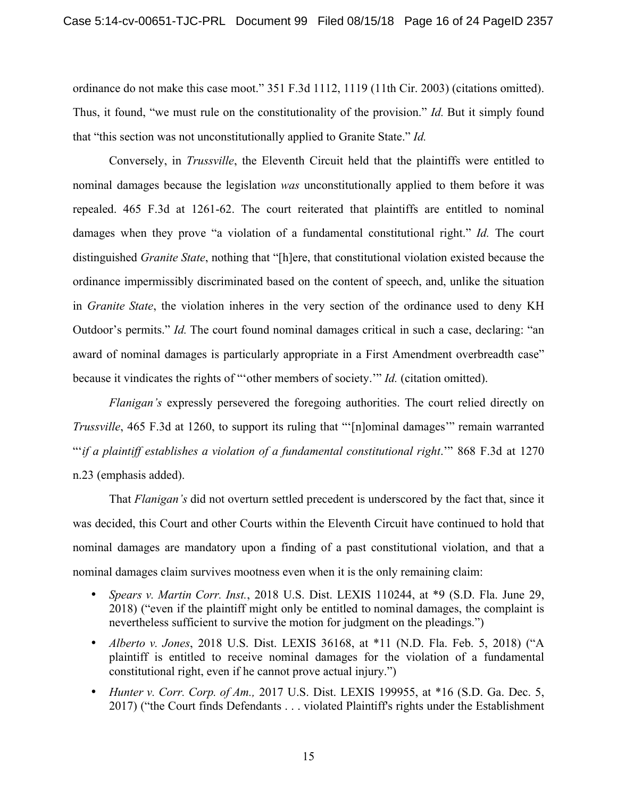ordinance do not make this case moot." 351 F.3d 1112, 1119 (11th Cir. 2003) (citations omitted). Thus, it found, "we must rule on the constitutionality of the provision." *Id.* But it simply found that "this section was not unconstitutionally applied to Granite State." *Id.* 

Conversely, in *Trussville*, the Eleventh Circuit held that the plaintiffs were entitled to nominal damages because the legislation *was* unconstitutionally applied to them before it was repealed. 465 F.3d at 1261-62. The court reiterated that plaintiffs are entitled to nominal damages when they prove "a violation of a fundamental constitutional right." *Id.* The court distinguished *Granite State*, nothing that "[h]ere, that constitutional violation existed because the ordinance impermissibly discriminated based on the content of speech, and, unlike the situation in *Granite State*, the violation inheres in the very section of the ordinance used to deny KH Outdoor's permits." *Id.* The court found nominal damages critical in such a case, declaring: "an award of nominal damages is particularly appropriate in a First Amendment overbreadth case" because it vindicates the rights of "'other members of society.'" *Id.* (citation omitted).

*Flanigan's* expressly persevered the foregoing authorities. The court relied directly on *Trussville*, 465 F.3d at 1260, to support its ruling that "'[n]ominal damages'" remain warranted "'*if a plaintiff establishes a violation of a fundamental constitutional right*.'" 868 F.3d at 1270 n.23 (emphasis added).

That *Flanigan's* did not overturn settled precedent is underscored by the fact that, since it was decided, this Court and other Courts within the Eleventh Circuit have continued to hold that nominal damages are mandatory upon a finding of a past constitutional violation, and that a nominal damages claim survives mootness even when it is the only remaining claim:

- *Spears v. Martin Corr. Inst.*, 2018 U.S. Dist. LEXIS 110244, at \*9 (S.D. Fla. June 29, 2018) ("even if the plaintiff might only be entitled to nominal damages, the complaint is nevertheless sufficient to survive the motion for judgment on the pleadings.")
- *Alberto v. Jones*, 2018 U.S. Dist. LEXIS 36168, at \*11 (N.D. Fla. Feb. 5, 2018) ("A plaintiff is entitled to receive nominal damages for the violation of a fundamental constitutional right, even if he cannot prove actual injury.")
- *Hunter v. Corr. Corp. of Am.,* 2017 U.S. Dist. LEXIS 199955, at \*16 (S.D. Ga. Dec. 5, 2017) ("the Court finds Defendants . . . violated Plaintiff's rights under the Establishment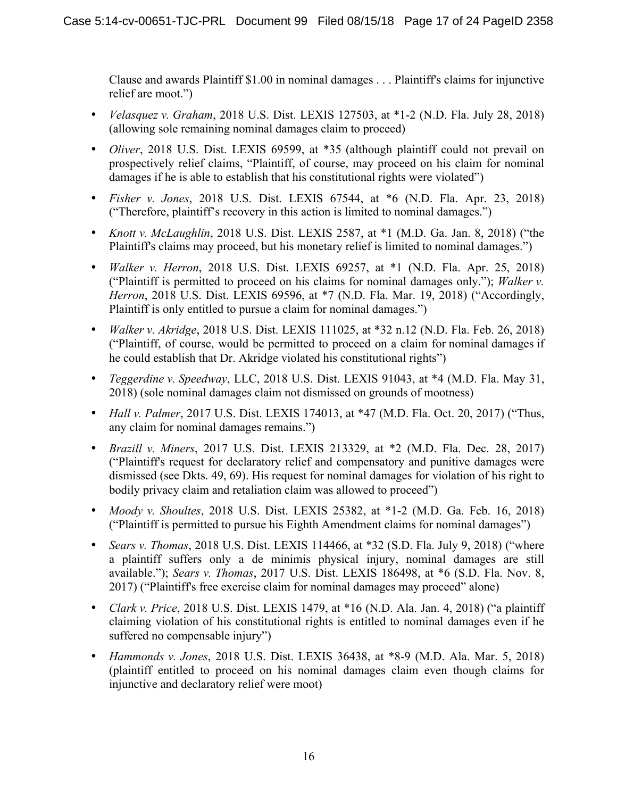Clause and awards Plaintiff \$1.00 in nominal damages . . . Plaintiff's claims for injunctive relief are moot.")

- *Velasquez v. Graham*, 2018 U.S. Dist. LEXIS 127503, at \*1-2 (N.D. Fla. July 28, 2018) (allowing sole remaining nominal damages claim to proceed)
- *Oliver*, 2018 U.S. Dist. LEXIS 69599, at \*35 (although plaintiff could not prevail on prospectively relief claims, "Plaintiff, of course, may proceed on his claim for nominal damages if he is able to establish that his constitutional rights were violated")
- *Fisher v. Jones*, 2018 U.S. Dist. LEXIS 67544, at \*6 (N.D. Fla. Apr. 23, 2018) ("Therefore, plaintiff's recovery in this action is limited to nominal damages.")
- *Knott v. McLaughlin*, 2018 U.S. Dist. LEXIS 2587, at \*1 (M.D. Ga. Jan. 8, 2018) ("the Plaintiff's claims may proceed, but his monetary relief is limited to nominal damages.")
- *Walker v. Herron*, 2018 U.S. Dist. LEXIS 69257, at \*1 (N.D. Fla. Apr. 25, 2018) ("Plaintiff is permitted to proceed on his claims for nominal damages only."); *Walker v. Herron*, 2018 U.S. Dist. LEXIS 69596, at \*7 (N.D. Fla. Mar. 19, 2018) ("Accordingly, Plaintiff is only entitled to pursue a claim for nominal damages.")
- *Walker v. Akridge*, 2018 U.S. Dist. LEXIS 111025, at \*32 n.12 (N.D. Fla. Feb. 26, 2018) ("Plaintiff, of course, would be permitted to proceed on a claim for nominal damages if he could establish that Dr. Akridge violated his constitutional rights")
- *Teggerdine v. Speedway*, LLC, 2018 U.S. Dist. LEXIS 91043, at \*4 (M.D. Fla. May 31, 2018) (sole nominal damages claim not dismissed on grounds of mootness)
- *Hall v. Palmer*, 2017 U.S. Dist. LEXIS 174013, at \*47 (M.D. Fla. Oct. 20, 2017) ("Thus, any claim for nominal damages remains.")
- *Brazill v. Miners*, 2017 U.S. Dist. LEXIS 213329, at \*2 (M.D. Fla. Dec. 28, 2017) ("Plaintiff's request for declaratory relief and compensatory and punitive damages were dismissed (see Dkts. 49, 69). His request for nominal damages for violation of his right to bodily privacy claim and retaliation claim was allowed to proceed")
- *Moody v. Shoultes*, 2018 U.S. Dist. LEXIS 25382, at \*1-2 (M.D. Ga. Feb. 16, 2018) ("Plaintiff is permitted to pursue his Eighth Amendment claims for nominal damages")
- *Sears v. Thomas*, 2018 U.S. Dist. LEXIS 114466, at \*32 (S.D. Fla. July 9, 2018) ("where a plaintiff suffers only a de minimis physical injury, nominal damages are still available."); *Sears v. Thomas*, 2017 U.S. Dist. LEXIS 186498, at \*6 (S.D. Fla. Nov. 8, 2017) ("Plaintiff's free exercise claim for nominal damages may proceed" alone)
- *Clark v. Price*, 2018 U.S. Dist. LEXIS 1479, at \*16 (N.D. Ala. Jan. 4, 2018) ("a plaintiff claiming violation of his constitutional rights is entitled to nominal damages even if he suffered no compensable injury")
- *Hammonds v. Jones*, 2018 U.S. Dist. LEXIS 36438, at \*8-9 (M.D. Ala. Mar. 5, 2018) (plaintiff entitled to proceed on his nominal damages claim even though claims for injunctive and declaratory relief were moot)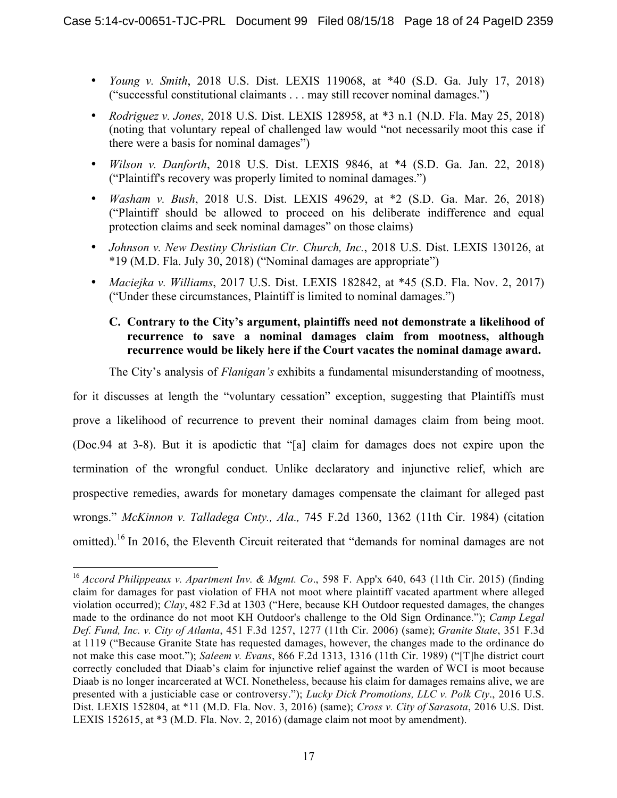- *Young v. Smith*, 2018 U.S. Dist. LEXIS 119068, at \*40 (S.D. Ga. July 17, 2018) ("successful constitutional claimants . . . may still recover nominal damages.")
- *Rodriguez v. Jones*, 2018 U.S. Dist. LEXIS 128958, at \*3 n.1 (N.D. Fla. May 25, 2018) (noting that voluntary repeal of challenged law would "not necessarily moot this case if there were a basis for nominal damages")
- *Wilson v. Danforth*, 2018 U.S. Dist. LEXIS 9846, at \*4 (S.D. Ga. Jan. 22, 2018) ("Plaintiff's recovery was properly limited to nominal damages.")
- *Washam v. Bush*, 2018 U.S. Dist. LEXIS 49629, at \*2 (S.D. Ga. Mar. 26, 2018) ("Plaintiff should be allowed to proceed on his deliberate indifference and equal protection claims and seek nominal damages" on those claims)
- *Johnson v. New Destiny Christian Ctr. Church, Inc.*, 2018 U.S. Dist. LEXIS 130126, at \*19 (M.D. Fla. July 30, 2018) ("Nominal damages are appropriate")
- *Maciejka v. Williams*, 2017 U.S. Dist. LEXIS 182842, at \*45 (S.D. Fla. Nov. 2, 2017) ("Under these circumstances, Plaintiff is limited to nominal damages.")

# **C. Contrary to the City's argument, plaintiffs need not demonstrate a likelihood of recurrence to save a nominal damages claim from mootness, although recurrence would be likely here if the Court vacates the nominal damage award.**

The City's analysis of *Flanigan's* exhibits a fundamental misunderstanding of mootness,

for it discusses at length the "voluntary cessation" exception, suggesting that Plaintiffs must prove a likelihood of recurrence to prevent their nominal damages claim from being moot. (Doc.94 at 3-8). But it is apodictic that "[a] claim for damages does not expire upon the termination of the wrongful conduct. Unlike declaratory and injunctive relief, which are prospective remedies, awards for monetary damages compensate the claimant for alleged past wrongs." *McKinnon v. Talladega Cnty., Ala.,* 745 F.2d 1360, 1362 (11th Cir. 1984) (citation omitted).<sup>16</sup> In 2016, the Eleventh Circuit reiterated that "demands for nominal damages are not

 <sup>16</sup> *Accord Philippeaux v. Apartment Inv. & Mgmt. Co*., 598 F. App'x 640, 643 (11th Cir. 2015) (finding claim for damages for past violation of FHA not moot where plaintiff vacated apartment where alleged violation occurred); *Clay*, 482 F.3d at 1303 ("Here, because KH Outdoor requested damages, the changes made to the ordinance do not moot KH Outdoor's challenge to the Old Sign Ordinance."); *Camp Legal Def. Fund, Inc. v. City of Atlanta*, 451 F.3d 1257, 1277 (11th Cir. 2006) (same); *Granite State*, 351 F.3d at 1119 ("Because Granite State has requested damages, however, the changes made to the ordinance do not make this case moot."); *Saleem v. Evans*, 866 F.2d 1313, 1316 (11th Cir. 1989) ("[T]he district court correctly concluded that Diaab's claim for injunctive relief against the warden of WCI is moot because Diaab is no longer incarcerated at WCI. Nonetheless, because his claim for damages remains alive, we are presented with a justiciable case or controversy."); *Lucky Dick Promotions, LLC v. Polk Cty*., 2016 U.S. Dist. LEXIS 152804, at \*11 (M.D. Fla. Nov. 3, 2016) (same); *Cross v. City of Sarasota*, 2016 U.S. Dist. LEXIS 152615, at \*3 (M.D. Fla. Nov. 2, 2016) (damage claim not moot by amendment).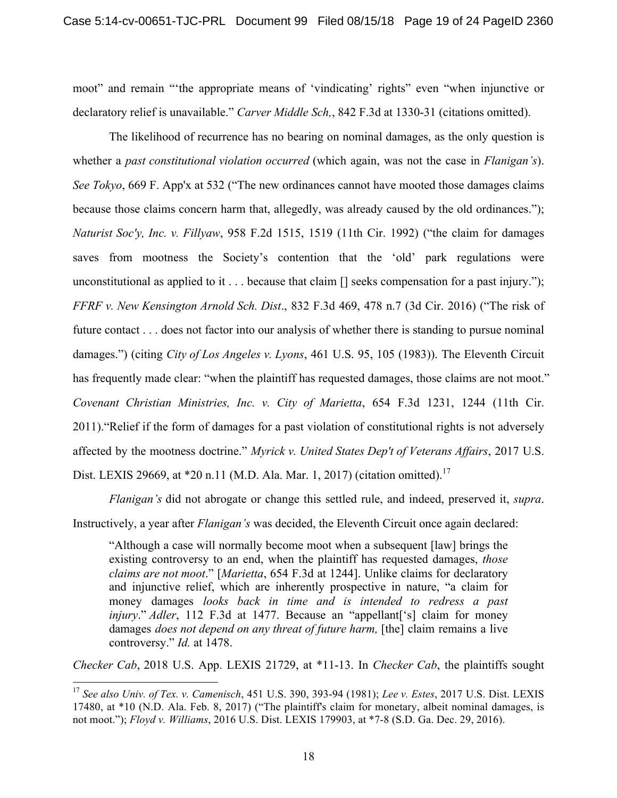moot" and remain "'the appropriate means of 'vindicating' rights" even "when injunctive or declaratory relief is unavailable." *Carver Middle Sch,*, 842 F.3d at 1330-31 (citations omitted).

The likelihood of recurrence has no bearing on nominal damages, as the only question is whether a *past constitutional violation occurred* (which again, was not the case in *Flanigan's*). *See Tokyo*, 669 F. App'x at 532 ("The new ordinances cannot have mooted those damages claims because those claims concern harm that, allegedly, was already caused by the old ordinances."); *Naturist Soc'y, Inc. v. Fillyaw*, 958 F.2d 1515, 1519 (11th Cir. 1992) ("the claim for damages saves from mootness the Society's contention that the 'old' park regulations were unconstitutional as applied to it . . . because that claim [] seeks compensation for a past injury."); *FFRF v. New Kensington Arnold Sch. Dist*., 832 F.3d 469, 478 n.7 (3d Cir. 2016) ("The risk of future contact . . . does not factor into our analysis of whether there is standing to pursue nominal damages.") (citing *City of Los Angeles v. Lyons*, 461 U.S. 95, 105 (1983)). The Eleventh Circuit has frequently made clear: "when the plaintiff has requested damages, those claims are not moot." *Covenant Christian Ministries, Inc. v. City of Marietta*, 654 F.3d 1231, 1244 (11th Cir. 2011)."Relief if the form of damages for a past violation of constitutional rights is not adversely affected by the mootness doctrine." *Myrick v. United States Dep't of Veterans Affairs*, 2017 U.S. Dist. LEXIS 29669, at  $*20$  n.11 (M.D. Ala. Mar. 1, 2017) (citation omitted).<sup>17</sup>

*Flanigan's* did not abrogate or change this settled rule, and indeed, preserved it, *supra*.

Instructively, a year after *Flanigan's* was decided, the Eleventh Circuit once again declared:

"Although a case will normally become moot when a subsequent [law] brings the existing controversy to an end, when the plaintiff has requested damages, *those claims are not moot*." [*Marietta*, 654 F.3d at 1244]. Unlike claims for declaratory and injunctive relief, which are inherently prospective in nature, "a claim for money damages *looks back in time and is intended to redress a past injury*." *Adler*, 112 F.3d at 1477. Because an "appellant['s] claim for money damages *does not depend on any threat of future harm*, [the] claim remains a live controversy." *Id.* at 1478.

*Checker Cab*, 2018 U.S. App. LEXIS 21729, at \*11-13. In *Checker Cab*, the plaintiffs sought

 <sup>17</sup> *See also Univ. of Tex. v. Camenisch*, 451 U.S. 390, 393-94 (1981); *Lee v. Estes*, 2017 U.S. Dist. LEXIS 17480, at \*10 (N.D. Ala. Feb. 8, 2017) ("The plaintiff's claim for monetary, albeit nominal damages, is not moot."); *Floyd v. Williams*, 2016 U.S. Dist. LEXIS 179903, at \*7-8 (S.D. Ga. Dec. 29, 2016).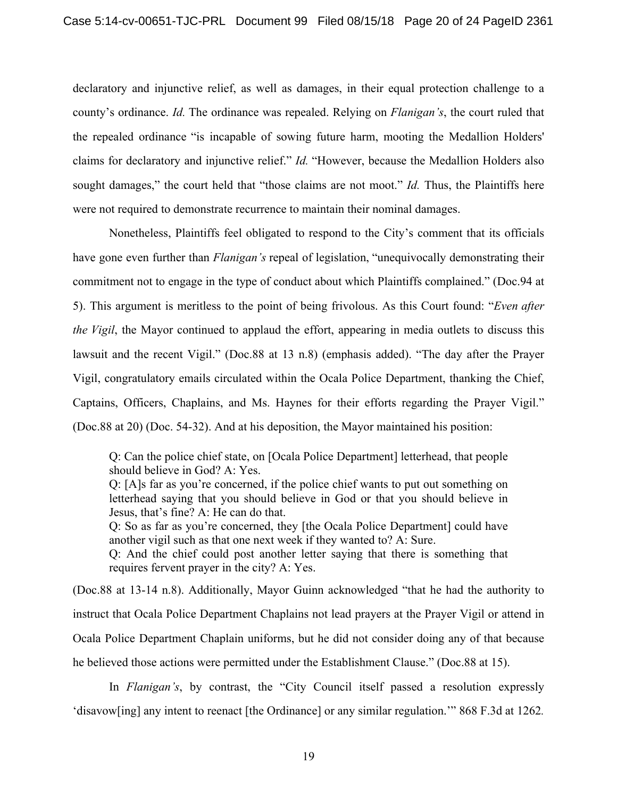declaratory and injunctive relief, as well as damages, in their equal protection challenge to a county's ordinance. *Id.* The ordinance was repealed. Relying on *Flanigan's*, the court ruled that the repealed ordinance "is incapable of sowing future harm, mooting the Medallion Holders' claims for declaratory and injunctive relief." *Id.* "However, because the Medallion Holders also sought damages," the court held that "those claims are not moot." *Id.* Thus, the Plaintiffs here were not required to demonstrate recurrence to maintain their nominal damages.

Nonetheless, Plaintiffs feel obligated to respond to the City's comment that its officials have gone even further than *Flanigan's* repeal of legislation, "unequivocally demonstrating their commitment not to engage in the type of conduct about which Plaintiffs complained." (Doc.94 at 5). This argument is meritless to the point of being frivolous. As this Court found: "*Even after the Vigil*, the Mayor continued to applaud the effort, appearing in media outlets to discuss this lawsuit and the recent Vigil." (Doc.88 at 13 n.8) (emphasis added). "The day after the Prayer Vigil, congratulatory emails circulated within the Ocala Police Department, thanking the Chief, Captains, Officers, Chaplains, and Ms. Haynes for their efforts regarding the Prayer Vigil." (Doc.88 at 20) (Doc. 54-32). And at his deposition, the Mayor maintained his position:

Q: Can the police chief state, on [Ocala Police Department] letterhead, that people should believe in God? A: Yes.

Q: [A]s far as you're concerned, if the police chief wants to put out something on letterhead saying that you should believe in God or that you should believe in Jesus, that's fine? A: He can do that.

Q: So as far as you're concerned, they [the Ocala Police Department] could have another vigil such as that one next week if they wanted to? A: Sure.

Q: And the chief could post another letter saying that there is something that requires fervent prayer in the city? A: Yes.

(Doc.88 at 13-14 n.8). Additionally, Mayor Guinn acknowledged "that he had the authority to instruct that Ocala Police Department Chaplains not lead prayers at the Prayer Vigil or attend in Ocala Police Department Chaplain uniforms, but he did not consider doing any of that because he believed those actions were permitted under the Establishment Clause." (Doc.88 at 15).

In *Flanigan's*, by contrast, the "City Council itself passed a resolution expressly 'disavow[ing] any intent to reenact [the Ordinance] or any similar regulation.'" 868 F.3d at 1262*.*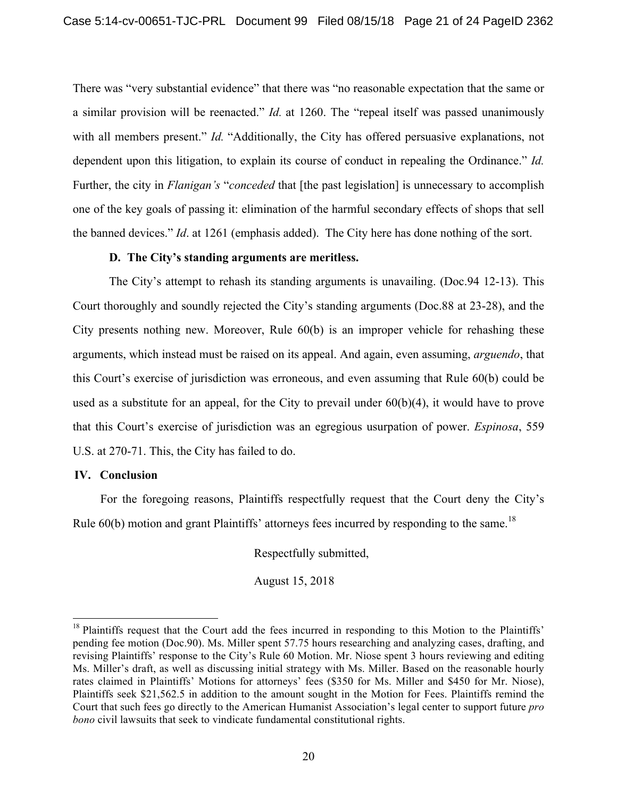There was "very substantial evidence" that there was "no reasonable expectation that the same or a similar provision will be reenacted." *Id.* at 1260. The "repeal itself was passed unanimously with all members present." *Id.* "Additionally, the City has offered persuasive explanations, not dependent upon this litigation, to explain its course of conduct in repealing the Ordinance." *Id.*  Further, the city in *Flanigan's* "*conceded* that [the past legislation] is unnecessary to accomplish one of the key goals of passing it: elimination of the harmful secondary effects of shops that sell the banned devices." *Id*. at 1261 (emphasis added). The City here has done nothing of the sort.

#### **D. The City's standing arguments are meritless.**

The City's attempt to rehash its standing arguments is unavailing. (Doc.94 12-13). This Court thoroughly and soundly rejected the City's standing arguments (Doc.88 at 23-28), and the City presents nothing new. Moreover, Rule 60(b) is an improper vehicle for rehashing these arguments, which instead must be raised on its appeal. And again, even assuming, *arguendo*, that this Court's exercise of jurisdiction was erroneous, and even assuming that Rule 60(b) could be used as a substitute for an appeal, for the City to prevail under  $60(b)(4)$ , it would have to prove that this Court's exercise of jurisdiction was an egregious usurpation of power. *Espinosa*, 559 U.S. at 270-71. This, the City has failed to do.

#### **IV. Conclusion**

For the foregoing reasons, Plaintiffs respectfully request that the Court deny the City's Rule  $60(b)$  motion and grant Plaintiffs' attorneys fees incurred by responding to the same.<sup>18</sup>

Respectfully submitted,

August 15, 2018

<sup>&</sup>lt;sup>18</sup> Plaintiffs request that the Court add the fees incurred in responding to this Motion to the Plaintiffs' pending fee motion (Doc.90). Ms. Miller spent 57.75 hours researching and analyzing cases, drafting, and revising Plaintiffs' response to the City's Rule 60 Motion. Mr. Niose spent 3 hours reviewing and editing Ms. Miller's draft, as well as discussing initial strategy with Ms. Miller. Based on the reasonable hourly rates claimed in Plaintiffs' Motions for attorneys' fees (\$350 for Ms. Miller and \$450 for Mr. Niose), Plaintiffs seek \$21,562.5 in addition to the amount sought in the Motion for Fees. Plaintiffs remind the Court that such fees go directly to the American Humanist Association's legal center to support future *pro bono* civil lawsuits that seek to vindicate fundamental constitutional rights.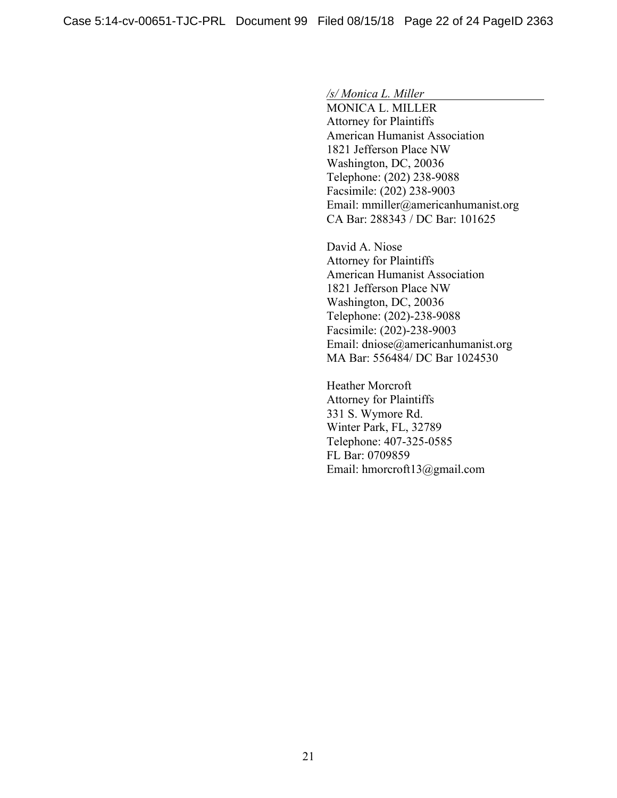*/s/ Monica L. Miller*

MONICA L. MILLER Attorney for Plaintiffs American Humanist Association 1821 Jefferson Place NW Washington, DC, 20036 Telephone: (202) 238-9088 Facsimile: (202) 238-9003 Email: mmiller@americanhumanist.org CA Bar: 288343 / DC Bar: 101625

David A. Niose Attorney for Plaintiffs American Humanist Association 1821 Jefferson Place NW Washington, DC, 20036 Telephone: (202)-238-9088 Facsimile: (202)-238-9003 Email: dniose@americanhumanist.org MA Bar: 556484/ DC Bar 1024530

Heather Morcroft Attorney for Plaintiffs 331 S. Wymore Rd. Winter Park, FL, 32789 Telephone: 407-325-0585 FL Bar: 0709859 Email: hmorcroft13@gmail.com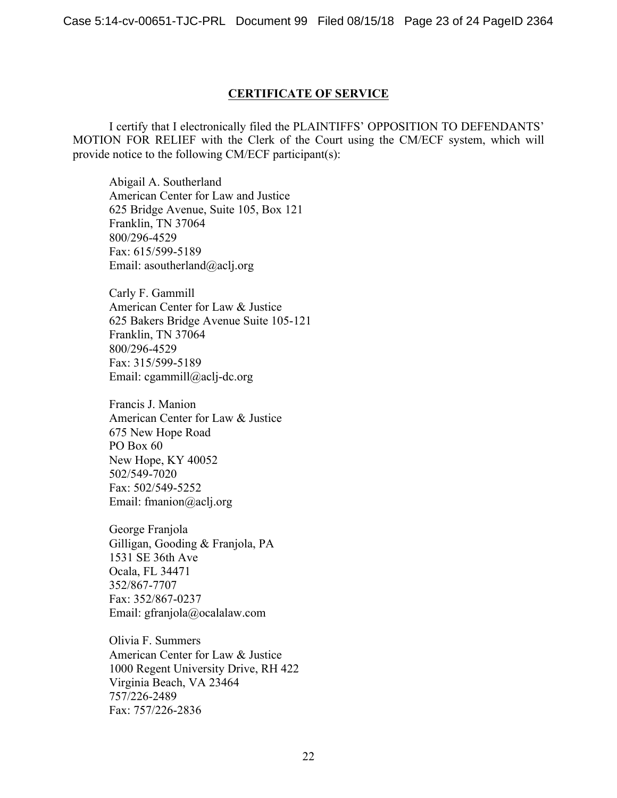### **CERTIFICATE OF SERVICE**

I certify that I electronically filed the PLAINTIFFS' OPPOSITION TO DEFENDANTS' MOTION FOR RELIEF with the Clerk of the Court using the CM/ECF system, which will provide notice to the following CM/ECF participant(s):

Abigail A. Southerland American Center for Law and Justice 625 Bridge Avenue, Suite 105, Box 121 Franklin, TN 37064 800/296-4529 Fax: 615/599-5189 Email: asoutherland@aclj.org

Carly F. Gammill American Center for Law & Justice 625 Bakers Bridge Avenue Suite 105-121 Franklin, TN 37064 800/296-4529 Fax: 315/599-5189 Email: cgammill@aclj-dc.org

Francis J. Manion American Center for Law & Justice 675 New Hope Road PO Box 60 New Hope, KY 40052 502/549-7020 Fax: 502/549-5252 Email: fmanion@aclj.org

George Franjola Gilligan, Gooding & Franjola, PA 1531 SE 36th Ave Ocala, FL 34471 352/867-7707 Fax: 352/867-0237 Email: gfranjola@ocalalaw.com

Olivia F. Summers American Center for Law & Justice 1000 Regent University Drive, RH 422 Virginia Beach, VA 23464 757/226-2489 Fax: 757/226-2836